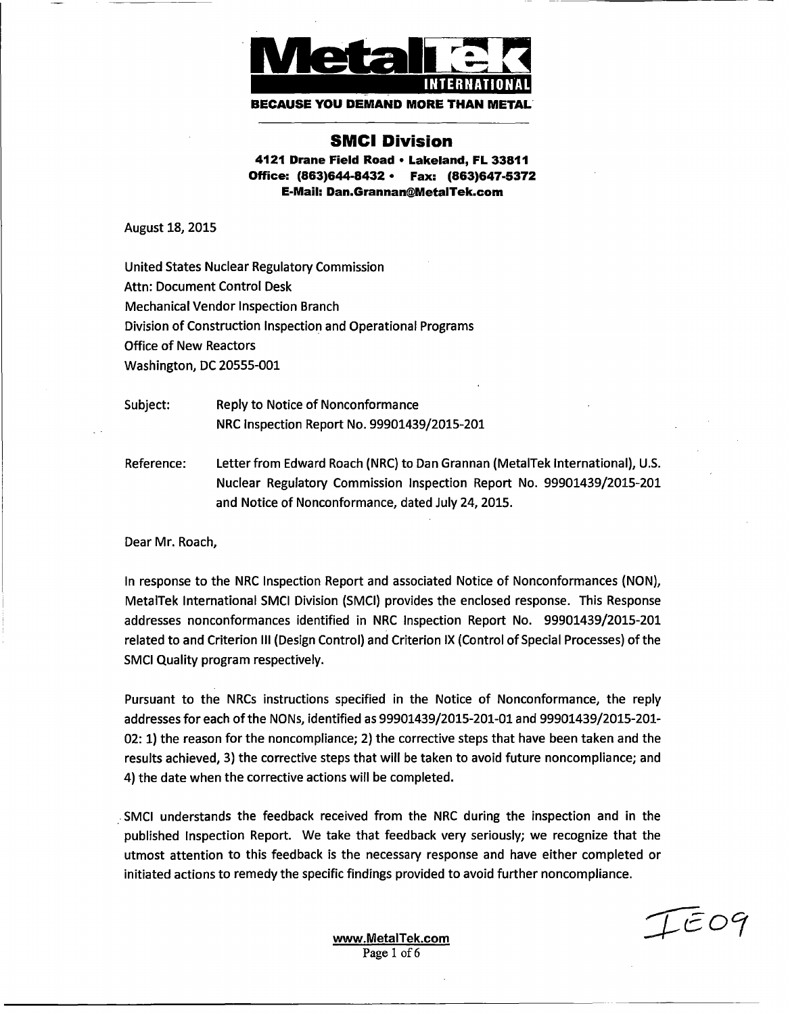

**BECAUSE YOU DEMAND MORE THAN ME** 

# **SMCI Division**

**4121 Drane Field Road** ° **Lakeland, FL 33811 Office: (863)644-8432** ° **Fax: (863)647-5372 E-Mail: Dan.Grannan@MetalTek.com**

August 18, 2015

United States Nuclear Regulatory Commission Attn: Document Control Desk Mechanical Vendor Inspection Branch Division of Construction Inspection and Operational Programs Office of New Reactors Washington, DC 20555-001

Subject: Reply to Notice of Nonconformance NRC Inspection Report No. 99901439/2015-201

Reference: Letter from Edward Roach (NRC) to Dan Grannan (MetalTek International), U.S. Nuclear Regulatory Commission Inspection Report No. 99901439/2015-201 and Notice of Nonconformance, dated July 24, 2015.

Dear Mr. Roach,

In response to the NRC Inspection Report and associated Notice of Nonconformances (NON), MetalTek International SMCI Division (SMCI) provides the enclosed response. This Response addresses nonconformances identified in NRC Inspection Report No. 99901439/2015-201 related to and Criterion Ill (Design Control) and Criterion IX (Control of Special Processes) of the SMCI Quality program respectively.

Pursuant to the NRCs instructions specified in the Notice of Nonconformance, the reply addresses for each of the NONs, identified as 99901439/2015-201-01 and 99901439/2015-201- 02: 1) the reason for the noncompliance; 2) the corrective steps that have been taken and the results achieved, 3) the corrective steps that will be taken to avoid future noncompliance; and 4) the date when the corrective actions will be completed.

SSMCI understands the feedback received from the NRC during the inspection and in the published Inspection Report. We take that feedback very seriously; we recognize that the utmost attention to this feedback is the necessary response and have either completed or initiated actions to remedy the specific findings provided to avoid further noncompliance.

 $T$ EO9

www.MetalTek.com<br>Page 1 of 6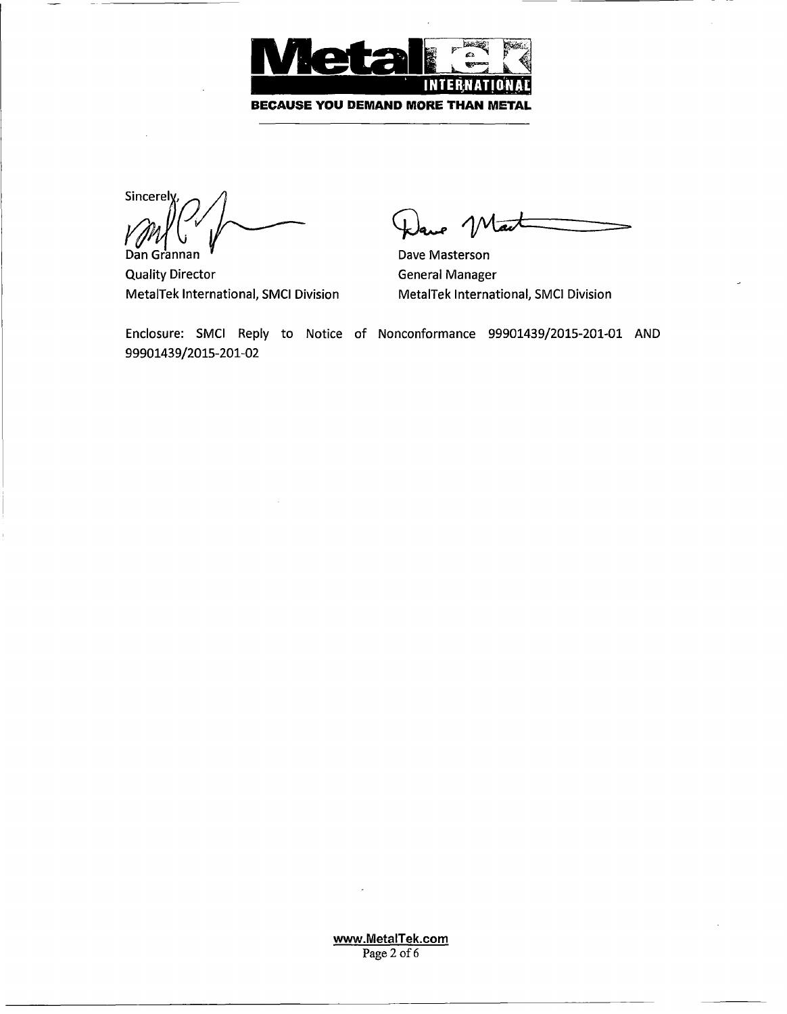

Sincerely, Dan Grannan

Quality Director MetalTek International, SMCI Division

Dave Masterson General Manager MetalTek International, SMCI Division

Enclosure: SMCI Reply to Notice of Nonconformance 99901439/2015-201-01 AND 99901439/2015-201-02

> www.MetalTek.com  $\frac{W \cdot W \cdot U \cdot U \cdot U}{\text{Base 2 of } }$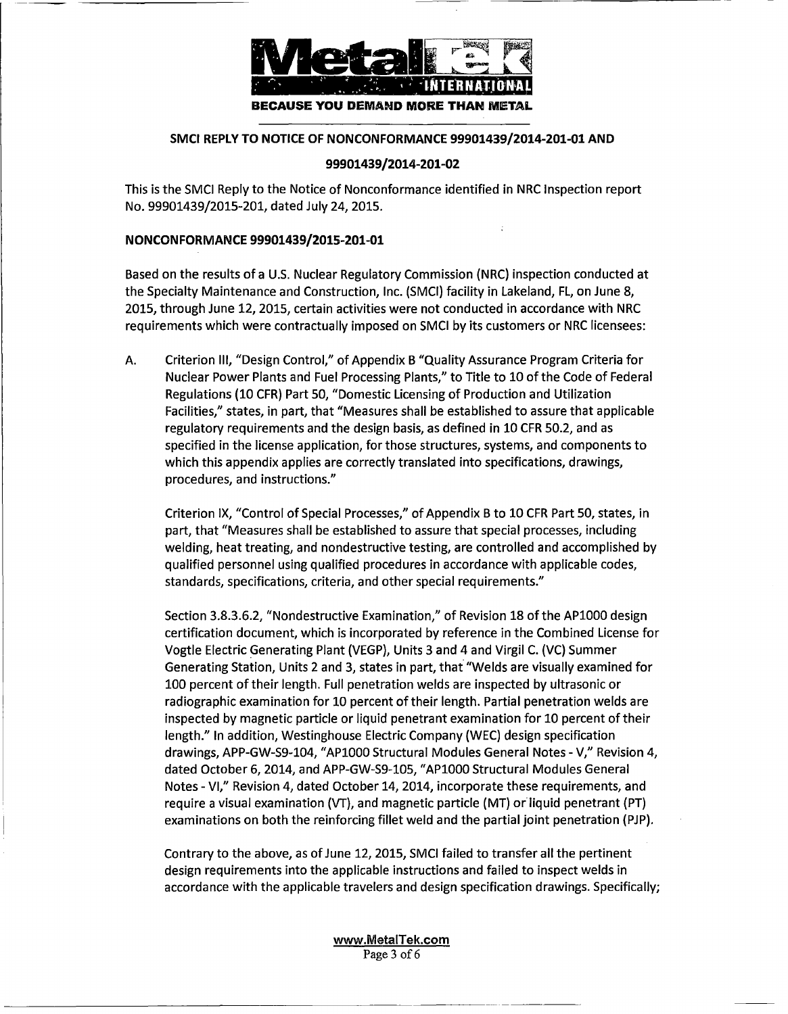

## **SMCI REPLY TO NOTICE OF NONCONFORMANCE 99901439/2014-201-01 AND**

#### **99901439/2014-201-02**

This is the SMCi Reply to the Notice of Nonconformance identified in NRC Inspection report No. 99901439/2015-201, dated July 24, 2015.

#### NONCONFORMANCE 99901439/2015-201-01

Based on the results of a U.S. Nuclear Regulatory Commission (NRC) inspection conducted at the Specialty Maintenance and Construction, Inc. (SMCI) facility in Lakeland, FL, on June 8, 2015, through June 12, 2015, certain activities were not conducted in accordance with NRC requirements which were contractually imposed on SMCI by its customers or NRC licensees:

A. Criterion Ill, "Design Control," of Appendix B "Quality Assurance Program Criteria for Nuclear Power Plants and Fuel Processing Plants," to Title to 10 of the Code of Federal Regulations (10 CFR) Part 50, "Domestic Licensing of Production and Utilization Facilities," states, in part, that "Measures shall be established to assure that applicable regulatory requirements and the design basis, as defined in 10 CFR 50.2, and as specified in the license application, for those structures, systems, and components to which this appendix applies are correctly translated into specifications, drawings, procedures, and instructions."

Criterion IX, "Control of Special Processes," of Appendix B to 10 CFR Part 50, states, in part, that "Measures shall be established to assure that special processes, including welding, heat treating, and nondestructive testing, are controlled and accomplished by qualified personnel using qualified procedures in accordance with applicable codes, standards, specifications, criteria, and other special requirements."

Section 3.8.3.6.2, "Nondestructive Examination," of Revision 18 of the APl000 design certification document, which is incorporated by reference in the Combined License for Vogtle Electric Generating Plant (VEGP), Units 3 and 4 and Virgil C. (VC) Summer Generating Station, Units 2 and 3, states in part, that "Welds are visually examined for 100 percent of their length. Full penetration welds are inspected by ultrasonic or radiographic examination for 10 percent of their length. Partial penetration welds are inspected by magnetic particle or liquid penetrant examination for 10 percent of their length." In addition, Westinghouse Electric Company (WEC) design specification drawings, APP-GW-S9-104, "AP1000 Structural Modules General Notes - V," Revision 4, dated October 6, 2014, and APP-GW-S9-105, "AP1000 Structural Modules General Notes - VI," Revision 4, dated October 14, 2014, incorporate these requirements, and require a visual examination (VT), and magnetic particle (MT) or liquid penetrant (PT) examinations on both the reinforcing fillet weld and the partial joint penetration (PJP).

Contrary to the above, as of June 12, 2015, SMCI failed to transfer all the pertinent design requirements into the applicable instructions and failed to inspect welds in accordance with the applicable travelers and design specification drawings. Specifically;

> www.MetalTek.com  $\frac{v \cdot w \cdot \text{grad} \cdot \text{grad}}{\text{Area} \cdot 2 \cdot \text{d} \cdot \text{d} \cdot \text{d} \cdot \text{d} \cdot \text{d} \cdot \text{d} \cdot \text{d} \cdot \text{d} \cdot \text{d} \cdot \text{d} \cdot \text{d} \cdot \text{d} \cdot \text{d} \cdot \text{d} \cdot \text{d} \cdot \text{d} \cdot \text{d} \cdot \text{d} \cdot \text{d} \cdot \text{d} \cdot \text{d} \cdot \text{d} \cdot \text{d} \cdot \text{d} \cdot \text{d} \cdot \text{d} \cdot \text{d} \$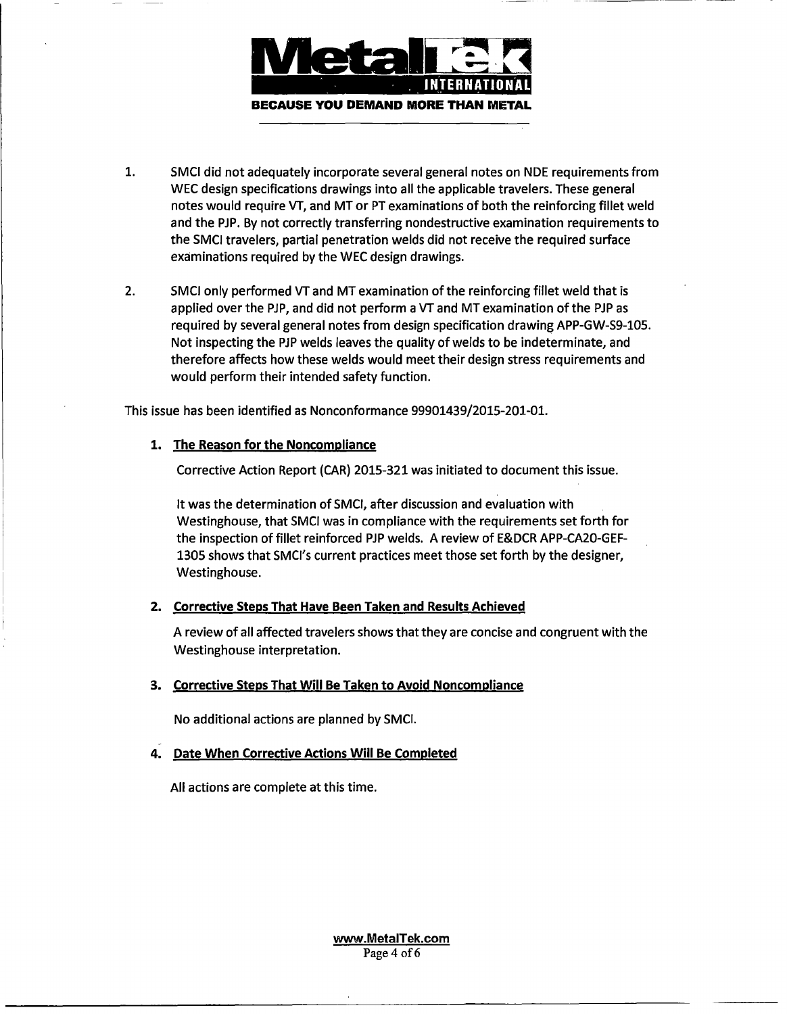

- $\mathbf{1}$ 1. SMCI did not adequately incorporate several general notes on NDE requirements from WEC design specifications drawings into all the applicable travelers. These general notes would require VT, and MT or PT examinations of both the reinforcing fillet weld and the PiP. By not correctly transferring nondestructive examination requirements to the SMCl travelers, partial penetration welds did not receive the required surface examinations required by the WEC design drawings.
- 2. SMCI only performed VT and MT examination of the reinforcing fillet weld that is applied over the PJP, and did not perform a VT and MT examination of the PJP as required by several general notes from design specification drawing APP-GW-S9-105. Not inspecting the PiP welds leaves the quality of welds to be indeterminate, and therefore affects how these welds would meet their design stress requirements and would perform their intended safety function.

This issue has been identified as Nonconformance 99901439/2015-201-01.

## 1. The Reason for the Noncompliance

Corrective Action Report (CAR) 2015-321 was initiated to document this issue.

It was the determination of SMCI, after discussion and evaluation with Westinghouse, that SMCI was in compliance with the requirements set forth for the inspection of fillet reinforced PJP welds. A review of E&DCR APP-CA20-GEF-1305 shows that SMCI's current practices meet those set forth by the designer, Westinghouse.

# 2. Corrective Steps That Have Been Taken and Results Achieved

A review of all affected travelers shows that they are concise and congruent with the Westinghouse interpretation.

## 3. Corrective Steps That Will Be Taken to Avoid Noncompliance

No additional actions are planned by SMCI.

# 4. Date When Corrective Actions Will Be Completed

All actions are complete at this time.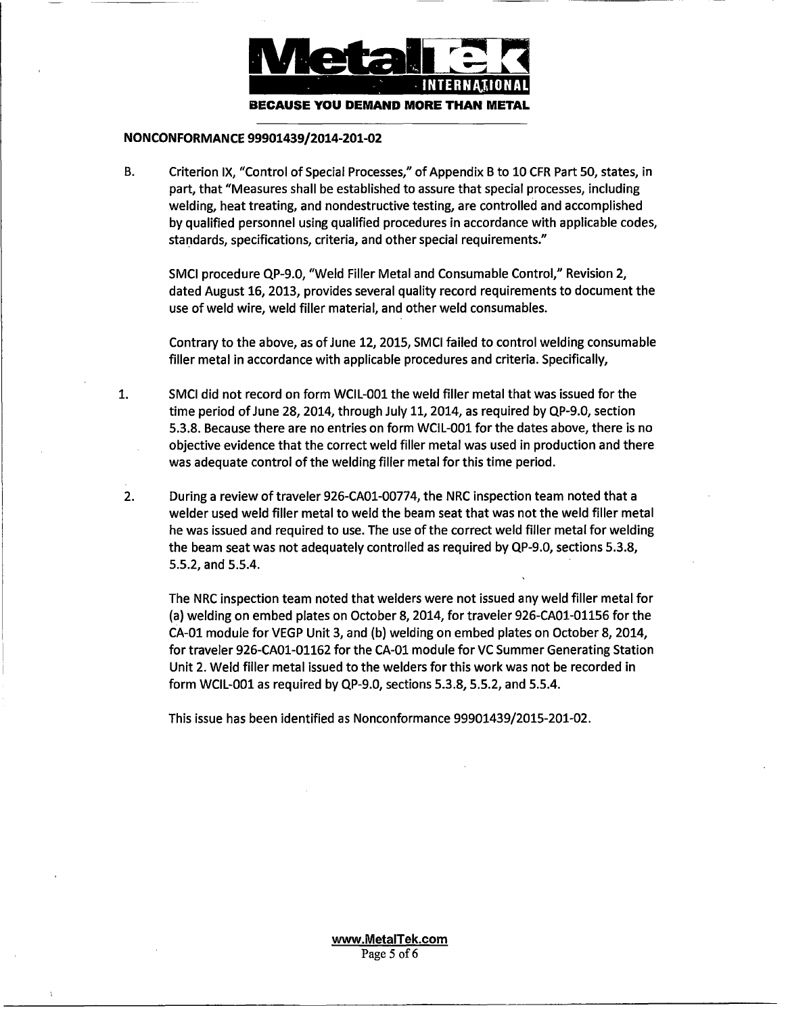

#### **NONCONFORMANCE 99901439/2014-201-02**

**B.** Criterion IX, "Control of Special Processes," of Appendix B to 10 CFR Part 50, states, in part, that "Measures shall be established to assure that special processes, including welding, heat treating, and nondestructive testing, are controlled and accomplished by qualified personnel using qualified procedures in accordance with applicable codes, standards, specifications, criteria, and other special requirements."

SMCI procedure QP-9.0, "Weld Filler Metal and Consumable Control," Revision 2, dated August 16, 2013, provides several quality record requirements to document the use of weld wire, weld filler material, and other weld consumables.

Contrary to the above, as of June 12, 2015, SMCI failed to control welding consumable filler metal in accordance with applicable procedures and criteria. Specifically,

- 1. SMCI did not record on form WCIL-001 the weld filler metal that was issued for the time period of June 28, 2014, through July 11, 2014, as required by QP-9.0, section 5.3.8. Because there are no entries on form WCIL-001 for the dates above, there is no objective evidence that the correct weld filler metal was used in production and there was adequate control of the welding filler metal for this time period.
- 2. During a review of traveler 926-CA01-00774, the NRC inspection team noted that a welder used weld filler metal to weld the beam seat that was not the weld filler metal he was issued and required to use. The use of the correct weld filler metal for welding the beam seat was not adequately controlled as required by QP-9.0, sections 5.3.8, 5.5.2, and 5.5.4.

The NRC inspection team noted that welders were not issued any weld filler metal for (a) welding on embed plates on October 8, 2014, for traveler 926-CA01-01156 for the CA-0l module for VEGP Unit 3, and (b) welding on embed plates on October 8, 2014, for traveler 926-CA01-01162 for the CA-01 module for VC Summer Generating Station Unit 2. Weld filler metal issued to the welders for this work was not be recorded in form WClL-001 as required by QP-9.0, sections 5.3.8, 5.5.2, and 5.5.4.

This issue has been identified as Nonconformance 99901439/2015-201-02.